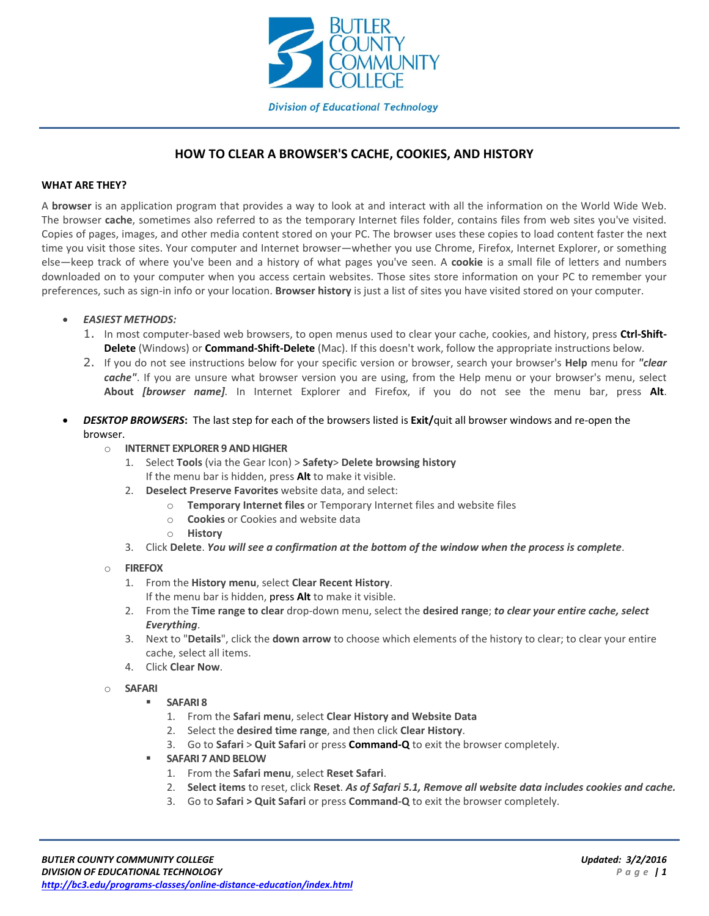

# **HOW TO CLEAR A BROWSER'S CACHE, COOKIES, AND HISTORY**

### **WHAT ARE THEY?**

A **browser** is an application program that provides a way to look at and interact with all the information on the World Wide Web. The browser **cache**, sometimes also referred to as the temporary Internet files folder, contains files from web sites you've visited. Copies of pages, images, and other media content stored on your PC. The browser uses these copies to load content faster the next time you visit those sites. Your computer and Internet browser—whether you use Chrome, Firefox, Internet Explorer, or something else—keep track of where you've been and a history of what pages you've seen. A **cookie** is a small file of letters and numbers downloaded on to your computer when you access certain websites. Those sites store information on your PC to remember your preferences, such as sign-in info or your location. **Browser history** is just a list of sites you have visited stored on your computer.

# *EASIEST METHODS:*

- 1. In most computer-based web browsers, to open menus used to clear your cache, cookies, and history, press **Ctrl-Shift-Delete** (Windows) or **Command-Shift-Delete** (Mac). If this doesn't work, follow the appropriate instructions below.
- 2. If you do not see instructions below for your specific version or browser, search your browser's **Help** menu for *"clear cache"*. If you are unsure what browser version you are using, from the Help menu or your browser's menu, select **About** *[browser name].* In Internet Explorer and Firefox, if you do not see the menu bar, press **Alt**.
- *DESKTOP BROWSERS***:** The last step for each of the browsers listed is **Exit/**quit all browser windows and re-open the browser.

#### o **INTERNET EXPLORER 9 AND HIGHER**

- 1. Select **Tools** (via the Gear Icon) > **Safety**> **Delete browsing history** If the menu bar is hidden, press **Alt** to make it visible.
- 2. **Deselect Preserve Favorites** website data, and select:
	- o **Temporary Internet files** or Temporary Internet files and website files
	- o **Cookies** or Cookies and website data
	- o **History**
- 3. Click **Delete**. *You will see a confirmation at the bottom of the window when the process is complete*.

# o **FIREFOX**

- 1. From the **History menu**, select **Clear Recent History**.
	- If the menu bar is hidden, press **Alt** to make it visible.
- 2. From the **Time range to clear** drop-down menu, select the **desired range**; *to clear your entire cache, select Everything*.
- 3. Next to "**Details**", click the **down arrow** to choose which elements of the history to clear; to clear your entire cache, select all items.
- 4. Click **Clear Now**.
- o **SAFARI**
	- **SAFARI 8**
		- 1. From the **Safari menu**, select **Clear History and Website Data**
		- 2. Select the **desired time range**, and then click **Clear History**.
		- 3. Go to **Safari** > **Quit Safari** or press **Command-Q** to exit the browser completely.
	- **SAFARI 7 AND BELOW**
		- 1. From the **Safari menu**, select **Reset Safari**.
		- 2. **Select items** to reset, click **Reset**. *As of Safari 5.1, Remove all website data includes cookies and cache.*
		- 3. Go to **Safari > Quit Safari** or press **Command-Q** to exit the browser completely.